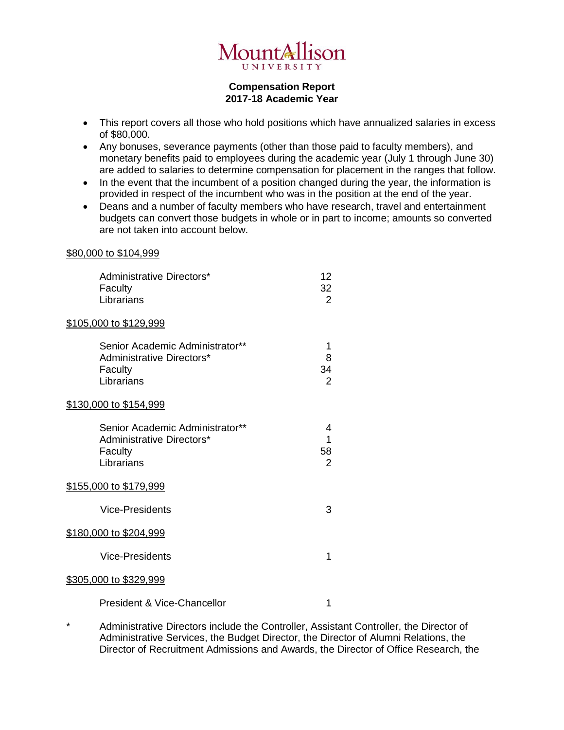

## **Compensation Report 2017-18 Academic Year**

- This report covers all those who hold positions which have annualized salaries in excess of \$80,000.
- Any bonuses, severance payments (other than those paid to faculty members), and monetary benefits paid to employees during the academic year (July 1 through June 30) are added to salaries to determine compensation for placement in the ranges that follow.
- In the event that the incumbent of a position changed during the year, the information is provided in respect of the incumbent who was in the position at the end of the year.
- Deans and a number of faculty members who have research, travel and entertainment budgets can convert those budgets in whole or in part to income; amounts so converted are not taken into account below.

## \$80,000 to \$104,999

| Administrative Directors*<br>Faculty<br>Librarians                                    | 12<br>32<br>2                  |
|---------------------------------------------------------------------------------------|--------------------------------|
| <u>\$105,000 to \$129,999</u>                                                         |                                |
| Senior Academic Administrator**<br>Administrative Directors*<br>Faculty<br>Librarians | 1<br>8<br>34<br>$\overline{2}$ |
| <u>\$130,000 to \$154,999</u>                                                         |                                |
| Senior Academic Administrator**<br>Administrative Directors*<br>Faculty<br>Librarians | 4<br>1<br>58<br>2              |
| <u>\$155,000 to \$179,999</u>                                                         |                                |
| <b>Vice-Presidents</b>                                                                | 3                              |
| <u>\$180,000 to \$204,999</u>                                                         |                                |
| <b>Vice-Presidents</b>                                                                | 1                              |
| <u>\$305,000 to \$329,999</u>                                                         |                                |
| <b>President &amp; Vice-Chancellor</b>                                                | 1                              |

\* Administrative Directors include the Controller, Assistant Controller, the Director of Administrative Services, the Budget Director, the Director of Alumni Relations, the Director of Recruitment Admissions and Awards, the Director of Office Research, the